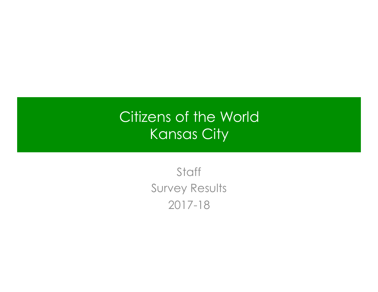# Citizens of the World Kansas City

**Staff** Survey Results 2017-18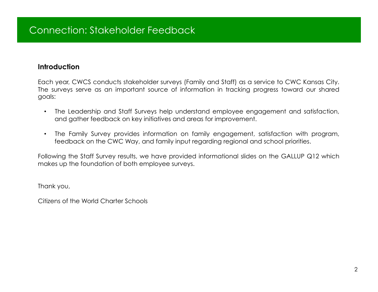#### **Introduction**

Each year, CWCS conducts stakeholder surveys (Family and Staff) as a service to CWC Kansas City. The surveys serve as an important source of information in tracking progress toward our shared goals:

- The Leadership and Staff Surveys help understand employee engagement and satisfaction, and gather feedback on key initiatives and areas for improvement.
- The Family Survey provides information on family engagement, satisfaction with program, feedback on the CWC Way, and family input regarding regional and school priorities.

Following the Staff Survey results, we have provided informational slides on the GALLUP Q12 which makes up the foundation of both employee surveys.

Thank you,

Citizens of the World Charter Schools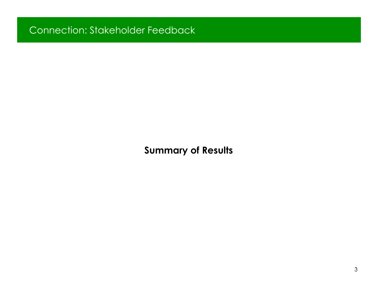**Summary of Results**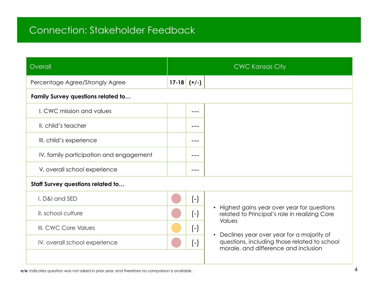| Overall                                  |               | <b>CWC Kansas City</b>                                                                                                                         |
|------------------------------------------|---------------|------------------------------------------------------------------------------------------------------------------------------------------------|
| Percentage Agree/Strongly Agree          | $17-18$ (+/-) |                                                                                                                                                |
| Family Survey questions related to       |               |                                                                                                                                                |
| I. CWC mission and values                | ---           |                                                                                                                                                |
| II. child's teacher                      |               |                                                                                                                                                |
| III. child's experience                  |               |                                                                                                                                                |
| IV. family participation and engagement  |               |                                                                                                                                                |
| V. overall school experience             |               |                                                                                                                                                |
| <b>Staff Survey questions related to</b> |               |                                                                                                                                                |
| I. D&I and SED                           | $(-)$         |                                                                                                                                                |
| II. school culture                       | $(-)$         | Highest gains year over year for questions<br>$\bullet$<br>related to Principal's role in realizing Core                                       |
| III. CWC Core Values                     | $(-)$         | <b>Values</b>                                                                                                                                  |
| IV. overall school experience            | $(-)$         | Declines year over year for a majority of<br>$\bullet$<br>questions, including those related to school<br>morale, and difference and inclusion |
|                                          |               |                                                                                                                                                |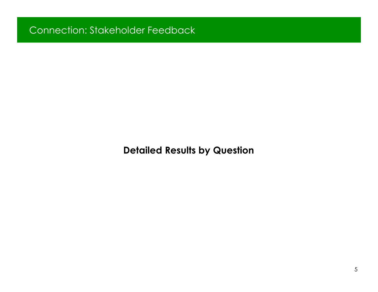**Detailed Results by Question**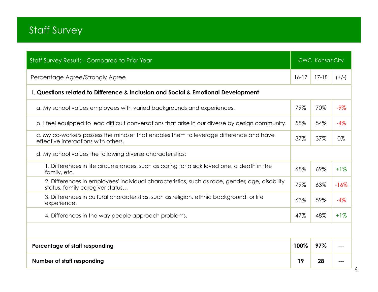| Staff Survey Results - Compared to Prior Year                                                                                     |         | <b>CWC Kansas City</b> |         |
|-----------------------------------------------------------------------------------------------------------------------------------|---------|------------------------|---------|
| Percentage Agree/Strongly Agree                                                                                                   | $16-17$ | $17 - 18$              | $(+/-)$ |
| I. Questions related to Difference & Inclusion and Social & Emotional Development                                                 |         |                        |         |
| a. My school values employees with varied backgrounds and experiences.                                                            | 79%     | 70%                    | $-9\%$  |
| b. I feel equipped to lead difficult conversations that arise in our diverse by design community.                                 | 58%     | 54%                    | $-4%$   |
| c. My co-workers possess the mindset that enables them to leverage difference and have<br>effective interactions with others.     | 37%     | 37%                    | 0%      |
| d. My school values the following diverse characteristics:                                                                        |         |                        |         |
| 1. Differences in life circumstances, such as caring for a sick loved one, a death in the<br>family, etc.                         | 68%     | 69%                    | $+1%$   |
| 2. Differences in employees' individual characteristics, such as race, gender, age, disability<br>status, family caregiver status | 79%     | 63%                    | $-16%$  |
| 3. Differences in cultural characteristics, such as religion, ethnic background, or life<br>experience.                           | 63%     | 59%                    | $-4%$   |
| 4. Differences in the way people approach problems.                                                                               | 47%     | 48%                    | $+1%$   |
|                                                                                                                                   |         |                        |         |
| Percentage of staff responding                                                                                                    | 100%    | 97%                    |         |
| Number of staff responding                                                                                                        | 19      | 28                     |         |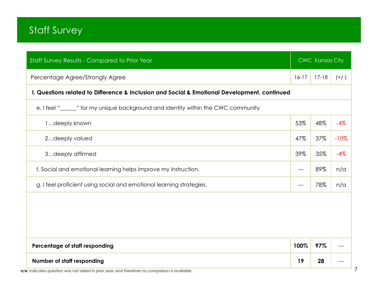| Staff Survey Results - Compared to Prior Year                                                |         | CWC Kansas City |            |
|----------------------------------------------------------------------------------------------|---------|-----------------|------------|
| Percentage Agree/Strongly Agree                                                              | $16-17$ | $17 - 18$       | $(+/-)$    |
| I. Questions related to Difference & Inclusion and Social & Emotional Development, continued |         |                 |            |
| e. I feel "_____" for my unique background and identity within the CWC community             |         |                 |            |
| 1deeply known                                                                                | 53%     | 48%             | $-4%$      |
| 2deeply valued                                                                               | 47%     | 37%             | $-10%$     |
| 3deeply affirmed                                                                             | 39%     | 35%             | $-4%$      |
| f. Social and emotional learning helps improve my instruction.                               | $---$   | 89%             | $n/\alpha$ |
| g. I feel proficient using social and emotional learning strategies.                         | ---     | 78%             | n/a        |
|                                                                                              |         |                 |            |
|                                                                                              |         |                 |            |
|                                                                                              |         |                 |            |
| Percentage of staff responding                                                               | 100%    | 97%             |            |
| Number of staff responding                                                                   | 19      | 28              |            |

**n/a:** Indicates question was not asked in prior year, and therefore no comparison is available.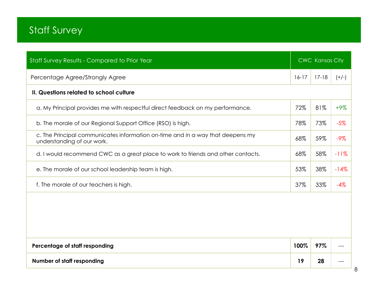| Staff Survey Results - Compared to Prior Year                                                                |         | <b>CWC Kansas City</b> |         |
|--------------------------------------------------------------------------------------------------------------|---------|------------------------|---------|
| Percentage Agree/Strongly Agree                                                                              | $16-17$ | $17-18$                | $(+/-)$ |
| II. Questions related to school culture                                                                      |         |                        |         |
| a. My Principal provides me with respectful direct feedback on my performance.                               | 72%     | 81%                    | $+9%$   |
| b. The morale of our Regional Support Office (RSO) is high.                                                  | 78%     | 73%                    | $-5%$   |
| c. The Principal communicates information on-time and in a way that deepens my<br>understanding of our work. | 68%     | 59%                    | $-9%$   |
| d. I would recommend CWC as a great place to work to friends and other contacts.                             | 68%     | 58%                    | $-11%$  |
| e. The morale of our school leadership team is high.                                                         | 53%     | 38%                    | $-14%$  |
| f. The morale of our teachers is high.                                                                       | 37%     | 33%                    | $-4%$   |
|                                                                                                              |         |                        |         |
| Percentage of staff responding                                                                               | 100%    | 97%                    |         |
| Number of staff responding                                                                                   | 19      | 28                     |         |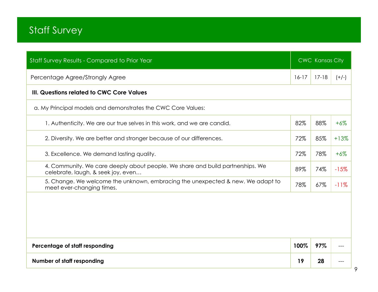| <b>Staff Survey Results - Compared to Prior Year</b>                                                                 |         | <b>CWC Kansas City</b> |         |
|----------------------------------------------------------------------------------------------------------------------|---------|------------------------|---------|
| Percentage Agree/Strongly Agree                                                                                      | $16-17$ | $17 - 18$              | $(+/-)$ |
| III. Questions related to CWC Core Values                                                                            |         |                        |         |
| a. My Principal models and demonstrates the CWC Core Values:                                                         |         |                        |         |
| 1. Authenticity. We are our true selves in this work, and we are candid.                                             | 82%     | 88%                    | $+6%$   |
| 2. Diversity. We are better and stronger because of our differences.                                                 | 72%     | 85%                    | $+13%$  |
| 3. Excellence. We demand lasting quality.                                                                            | 72%     | 78%                    | $+6%$   |
| 4. Community. We care deeply about people. We share and build partnerships. We<br>celebrate, laugh, & seek joy, even | 89%     | 74%                    | $-15%$  |
| 5. Change. We welcome the unknown, embracing the unexpected & new. We adapt to<br>meet ever-changing times.          | 78%     | 67%                    | $-11%$  |
|                                                                                                                      |         |                        |         |
|                                                                                                                      |         |                        |         |
| Percentage of staff responding                                                                                       | 100%    | 97%                    |         |
| Number of staff responding                                                                                           | 19      | 28                     |         |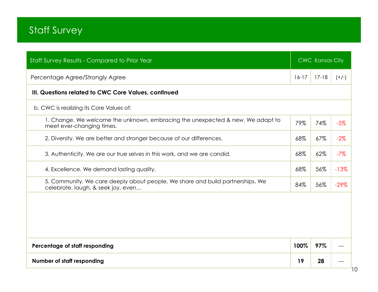| Staff Survey Results - Compared to Prior Year                                                                        |         | <b>CWC Kansas City</b> |         |
|----------------------------------------------------------------------------------------------------------------------|---------|------------------------|---------|
| Percentage Agree/Strongly Agree                                                                                      | $16-17$ | $17 - 18$              | $(+/-)$ |
| III. Questions related to CWC Core Values, continued                                                                 |         |                        |         |
| b. CWC is realizing its Core Values of:                                                                              |         |                        |         |
| 1. Change. We welcome the unknown, embracing the unexpected & new. We adapt to<br>meet ever-changing times.          | 79%     | 74%                    | $-5%$   |
| 2. Diversity. We are better and stronger because of our differences.                                                 | 68%     | 67%                    | $-2\%$  |
| 3. Authenticity. We are our true selves in this work, and we are candid.                                             | 68%     | 62%                    | $-7%$   |
| 4. Excellence. We demand lasting quality.                                                                            | 68%     | 56%                    | $-13%$  |
| 5. Community. We care deeply about people. We share and build partnerships. We<br>celebrate, laugh, & seek joy, even | 84%     | 56%                    | $-29%$  |
|                                                                                                                      |         |                        |         |
|                                                                                                                      |         |                        |         |
|                                                                                                                      |         |                        |         |
| Percentage of staff responding                                                                                       | 100%    | 97%                    |         |
| Number of staff responding                                                                                           | 19      | 28                     |         |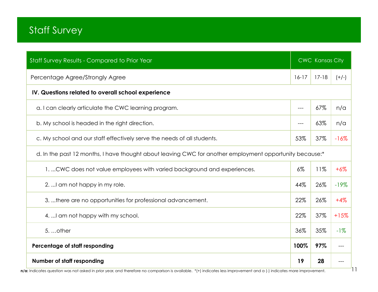| Staff Survey Results - Compared to Prior Year                                                           |         | <b>CWC Kansas City</b> |         |  |
|---------------------------------------------------------------------------------------------------------|---------|------------------------|---------|--|
| Percentage Agree/Strongly Agree                                                                         | $16-17$ | $17-18$                | $(+/-)$ |  |
| IV. Questions related to overall school experience                                                      |         |                        |         |  |
| a. I can clearly articulate the CWC learning program.                                                   | $---$   | 67%                    | n/a     |  |
| b. My school is headed in the right direction.                                                          | ---     | 63%                    | n/a     |  |
| c. My school and our staff effectively serve the needs of all students.                                 | 53%     | 37%                    | $-16%$  |  |
| d. In the past 12 months, I have thought about leaving CWC for another employment opportunity because:* |         |                        |         |  |
| 1.  CWC does not value employees with varied background and experiences.                                | $6\%$   | 11%                    | $+6%$   |  |
| 2.  I am not happy in my role.                                                                          | 44%     | 26%                    | $-19%$  |  |
| 3. there are no opportunities for professional advancement.                                             | 22%     | 26%                    | $+4%$   |  |
| 4.  I am not happy with my school.                                                                      | 22%     | 37%                    | $+15%$  |  |
| $5.$ other                                                                                              | 36%     | 35%                    | $-1\%$  |  |
| Percentage of staff responding                                                                          | 100%    | 97%                    |         |  |
| Number of staff responding                                                                              | 19      | 28                     |         |  |

n/a: Indicates question was not asked in prior year, and therefore no comparison is available. \*(+) indicates less improvement and a (-) indicates more improvement.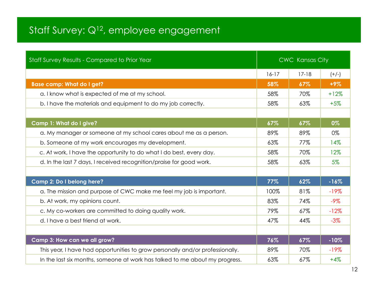# Staff Survey: Q<sup>12</sup>, employee engagement

| Staff Survey Results - Compared to Prior Year                                 |         | <b>CWC Kansas City</b> |         |
|-------------------------------------------------------------------------------|---------|------------------------|---------|
|                                                                               | $16-17$ | $17 - 18$              | $(+/-)$ |
| <b>Base camp: What do I get?</b>                                              | 58%     | 67%                    | $+9%$   |
| a. I know what is expected of me at my school.                                | 58%     | 70%                    | $+12%$  |
| b. I have the materials and equipment to do my job correctly.                 | 58%     | 63%                    | $+5%$   |
|                                                                               |         |                        |         |
| Camp 1: What do I give?                                                       | 67%     | 67%                    | 0%      |
| a. My manager or someone at my school cares about me as a person.             | 89%     | 89%                    | 0%      |
| b. Someone at my work encourages my development.                              | 63%     | 77%                    | 14%     |
| c. At work, I have the opportunity to do what I do best, every day.           | 58%     | 70%                    | 12%     |
| d. In the last 7 days, I received recognition/praise for good work.           | 58%     | 63%                    | $5\%$   |
|                                                                               |         |                        |         |
| Camp 2: Do I belong here?                                                     | 77%     | 62%                    | $-16%$  |
| a. The mission and purpose of CWC make me feel my job is important.           | 100%    | 81%                    | $-19%$  |
| b. At work, my opinions count.                                                | 83%     | 74%                    | $-9\%$  |
| c. My co-workers are committed to doing quality work.                         | 79%     | 67%                    | $-12%$  |
| d. I have a best friend at work.                                              | 47%     | 44%                    | $-3\%$  |
|                                                                               |         |                        |         |
| Camp 3: How can we all grow?                                                  | 76%     | 67%                    | $-10%$  |
| This year, I have had opportunities to grow personally and/or professionally. | 89%     | 70%                    | $-19%$  |
| In the last six months, someone at work has talked to me about my progress.   | 63%     | 67%                    | $+4%$   |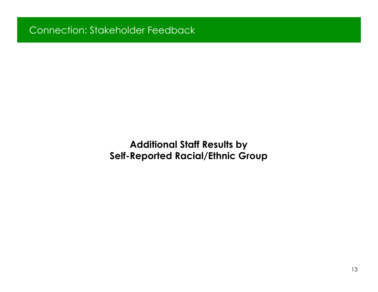**Additional Staff Results by Self-Reported Racial/Ethnic Group**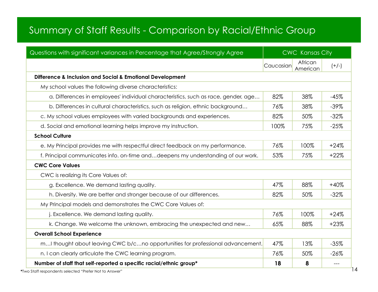#### Summary of Staff Results - Comparison by Racial/Ethnic Group

| Questions with significant variances in Percentage that Agree/Strongly Agree       |           | <b>CWC Kansas City</b> |         |  |
|------------------------------------------------------------------------------------|-----------|------------------------|---------|--|
|                                                                                    | Caucasian | African<br>American    | $(+/-)$ |  |
| Difference & Inclusion and Social & Emotional Development                          |           |                        |         |  |
| My school values the following diverse characteristics:                            |           |                        |         |  |
| a. Differences in employees' individual characteristics, such as race, gender, age | 82%       | 38%                    | $-45%$  |  |
| b. Differences in cultural characteristics, such as religion, ethnic background    | 76%       | 38%                    | $-39%$  |  |
| c. My school values employees with varied backgrounds and experiences.             | 82%       | 50%                    | $-32%$  |  |
| d. Social and emotional learning helps improve my instruction.                     | 100%      | 75%                    | $-25%$  |  |
| <b>School Culture</b>                                                              |           |                        |         |  |
| e. My Principal provides me with respectful direct feedback on my performance.     | 76%       | 100%                   | $+24%$  |  |
| f. Principal communicates info. on-time and deepens my understanding of our work.  | 53%       | 75%                    | $+22%$  |  |
| <b>CWC Core Values</b>                                                             |           |                        |         |  |
| CWC is realizing its Core Values of:                                               |           |                        |         |  |
| g. Excellence. We demand lasting quality.                                          | 47%       | 88%                    | $+40%$  |  |
| h. Diversity. We are better and stronger because of our differences.               | 82%       | 50%                    | $-32%$  |  |
| My Principal models and demonstrates the CWC Core Values of:                       |           |                        |         |  |
| j. Excellence. We demand lasting quality.                                          | 76%       | 100%                   | $+24%$  |  |
| k. Change. We welcome the unknown, embracing the unexpected and new                | 65%       | 88%                    | $+23%$  |  |
| <b>Overall School Experience</b>                                                   |           |                        |         |  |
| mI thought about leaving CWC b/cno opportunities for professional advancement.     | 47%       | 13%                    | $-35%$  |  |
| n. I can clearly articulate the CWC learning program.                              | 76%       | 50%                    | $-26%$  |  |
| Number of staff that self-reported a specific racial/ethnic group*                 | 18        | 8                      | $---$   |  |

**\***Two Staff respondents selected "Prefer Not to Answer"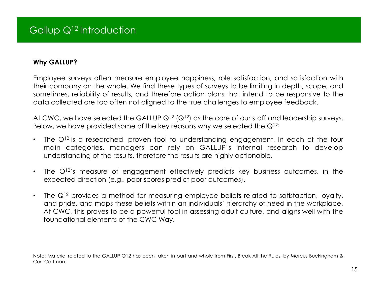#### **Why GALLUP?**

Employee surveys often measure employee happiness, role satisfaction, and satisfaction with their company on the whole. We find these types of surveys to be limiting in depth, scope, and sometimes, reliability of results, and therefore action plans that intend to be responsive to the data collected are too often not aligned to the true challenges to employee feedback.

At CWC, we have selected the GALLUP  $Q^{12}$  ( $Q^{12}$ ) as the core of our staff and leadership surveys. Below, we have provided some of the key reasons why we selected the  $Q^{12}$ :

- The  $Q^{12}$  is a researched, proven tool to understanding engagement. In each of the four main categories, managers can rely on GALLUP's internal research to develop understanding of the results, therefore the results are highly actionable.
- The  $Q^{12}$ 's measure of engagement effectively predicts key business outcomes, in the expected direction (e.g., poor scores predict poor outcomes).
- The  $Q^{12}$  provides a method for measuring employee beliefs related to satisfaction, loyalty, and pride, and maps these beliefs within an individuals' hierarchy of need in the workplace. At CWC, this proves to be a powerful tool in assessing adult culture, and aligns well with the foundational elements of the CWC Way.

Note: Material related to the GALLUP Q12 has been taken in part and whole from First, Break All the Rules, by Marcus Buckingham & Curt Coffman.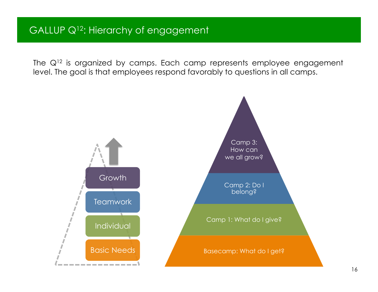The  $Q^{12}$  is organized by camps. Each camp represents employee engagement level. The goal is that employees respond favorably to questions in all camps.